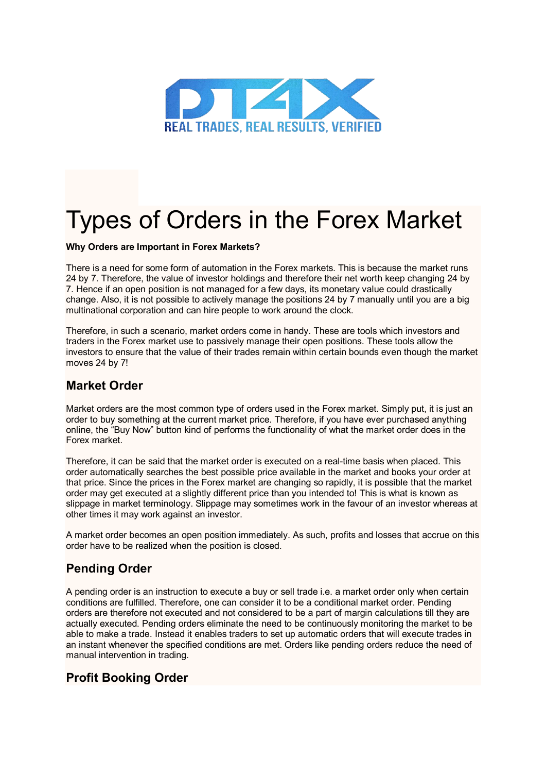

# Types of Orders in the Forex Market

#### **Why Orders are Important in Forex Markets?**

There is a need for some form of automation in the Forex markets. This is because the market runs 24 by 7. Therefore, the value of investor holdings and therefore their net worth keep changing 24 by 7. Hence if an open position is not managed for a few days, its monetary value could drastically change. Also, it is not possible to actively manage the positions 24 by 7 manually until you are a big multinational corporation and can hire people to work around the clock.

Therefore, in such a scenario, market orders come in handy. These are tools which investors and traders in the Forex market use to passively manage their open positions. These tools allow the investors to ensure that the value of their trades remain within certain bounds even though the market moves 24 by 7!

#### **Market Order**

Market orders are the most common type of orders used in the Forex market. Simply put, it is just an order to buy something at the current market price. Therefore, if you have ever purchased anything online, the "Buy Now" button kind of performs the functionality of what the market order does in the Forex market.

Therefore, it can be said that the market order is executed on a real-time basis when placed. This order automatically searches the best possible price available in the market and books your order at that price. Since the prices in the Forex market are changing so rapidly, it is possible that the market order may get executed at a slightly different price than you intended to! This is what is known as slippage in market terminology. Slippage may sometimes work in the favour of an investor whereas at other times it may work against an investor.

A market order becomes an open position immediately. As such, profits and losses that accrue on this order have to be realized when the position is closed.

### **Pending Order**

A pending order is an instruction to execute a buy or sell trade i.e. a market order only when certain conditions are fulfilled. Therefore, one can consider it to be a conditional market order. Pending orders are therefore not executed and not considered to be a part of margin calculations till they are actually executed. Pending orders eliminate the need to be continuously monitoring the market to be able to make a trade. Instead it enables traders to set up automatic orders that will execute trades in an instant whenever the specified conditions are met. Orders like pending orders reduce the need of manual intervention in trading.

### **Profit Booking Order**